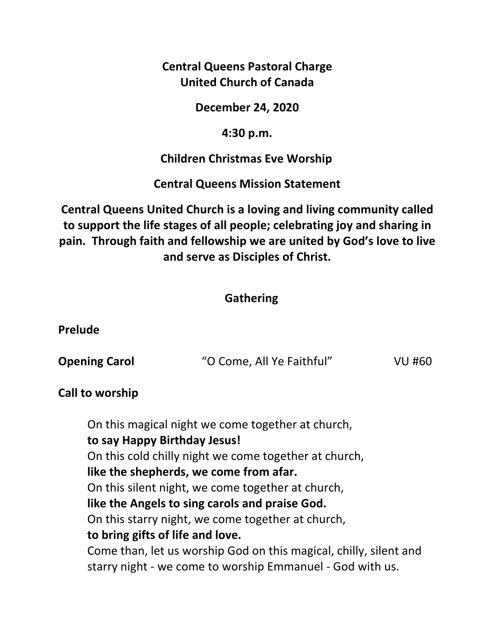**Central Queens Pastoral Charge United Church of Canada** 

**December 24, 2020** 

### **4:30 p.m.**

 **Children Christmas Eve Worship** 

**Central Queens Mission Statement** 

**Central Queens United Church is a loving and living community called to support the life stages of all people; celebrating joy and sharing in pain. Through faith and fellowship we are united by God's love to live and serve as Disciples of Christ.**

## **Gathering**

**Prelude** 

| <b>Opening Carol</b> | "O Come, All Ye Faithful" | <b>VU #60</b> |
|----------------------|---------------------------|---------------|
|----------------------|---------------------------|---------------|

## **Call to worship**

On this magical night we come together at church, **to say Happy Birthday Jesus!**  On this cold chilly night we come together at church, **like the shepherds, we come from afar.**  On this silent night, we come together at church, **like the Angels to sing carols and praise God.**  On this starry night, we come together at church, **to bring gifts of life and love.**  Come than, let us worship God on this magical, chilly, silent and starry night - we come to worship Emmanuel - God with us.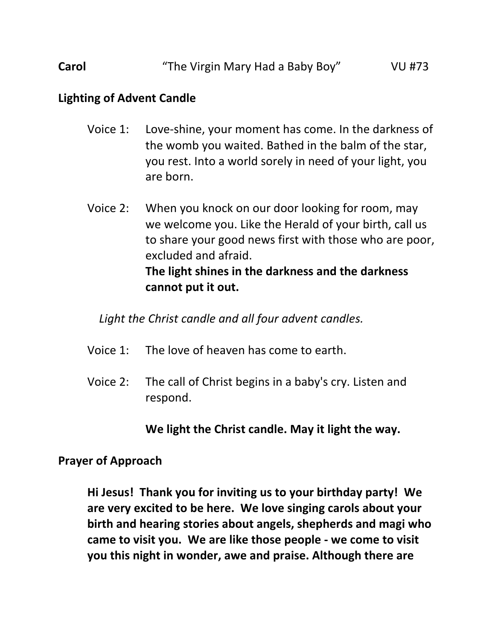**Carol Carol 1988 Carol Carol WE The Virgin Mary Had a Baby Boy" VU #73** 

#### **Lighting of Advent Candle**

- Voice 1: Love-shine, your moment has come. In the darkness of the womb you waited. Bathed in the balm of the star, you rest. Into a world sorely in need of your light, you are born.
- Voice 2: When you knock on our door looking for room, may we welcome you. Like the Herald of your birth, call us to share your good news first with those who are poor, excluded and afraid.  **The light shines in the darkness and the darkness cannot put it out.**

*Light the Christ candle and all four advent candles.* 

- Voice 1: The love of heaven has come to earth.
- Voice 2: The call of Christ begins in a baby's cry. Listen and respond.

 **We light the Christ candle. May it light the way.** 

#### **Prayer of Approach**

**Hi Jesus! Thank you for inviting us to your birthday party! We are very excited to be here. We love singing carols about your birth and hearing stories about angels, shepherds and magi who came to visit you. We are like those people - we come to visit you this night in wonder, awe and praise. Although there are**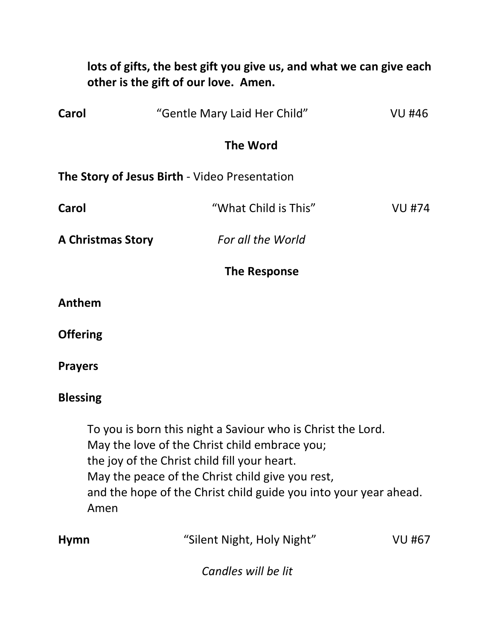| lots of gifts, the best gift you give us, and what we can give each<br>other is the gift of our love. Amen. |                                                                                                                                                                                                                                                                                              |               |  |  |
|-------------------------------------------------------------------------------------------------------------|----------------------------------------------------------------------------------------------------------------------------------------------------------------------------------------------------------------------------------------------------------------------------------------------|---------------|--|--|
| Carol                                                                                                       | "Gentle Mary Laid Her Child"                                                                                                                                                                                                                                                                 | <b>VU #46</b> |  |  |
|                                                                                                             | <b>The Word</b>                                                                                                                                                                                                                                                                              |               |  |  |
| The Story of Jesus Birth - Video Presentation                                                               |                                                                                                                                                                                                                                                                                              |               |  |  |
| Carol                                                                                                       | "What Child is This"                                                                                                                                                                                                                                                                         | <b>VU #74</b> |  |  |
|                                                                                                             | For all the World<br><b>A Christmas Story</b>                                                                                                                                                                                                                                                |               |  |  |
| The Response                                                                                                |                                                                                                                                                                                                                                                                                              |               |  |  |
| Anthem                                                                                                      |                                                                                                                                                                                                                                                                                              |               |  |  |
| <b>Offering</b>                                                                                             |                                                                                                                                                                                                                                                                                              |               |  |  |
| <b>Prayers</b>                                                                                              |                                                                                                                                                                                                                                                                                              |               |  |  |
| <b>Blessing</b>                                                                                             |                                                                                                                                                                                                                                                                                              |               |  |  |
|                                                                                                             | To you is born this night a Saviour who is Christ the Lord.<br>May the love of the Christ child embrace you;<br>the joy of the Christ child fill your heart.<br>May the peace of the Christ child give you rest,<br>and the hope of the Christ child guide you into your year ahead.<br>Amen |               |  |  |
| <b>Hymn</b>                                                                                                 | "Silent Night, Holy Night"                                                                                                                                                                                                                                                                   | VU #67        |  |  |
|                                                                                                             | Candles will be lit                                                                                                                                                                                                                                                                          |               |  |  |